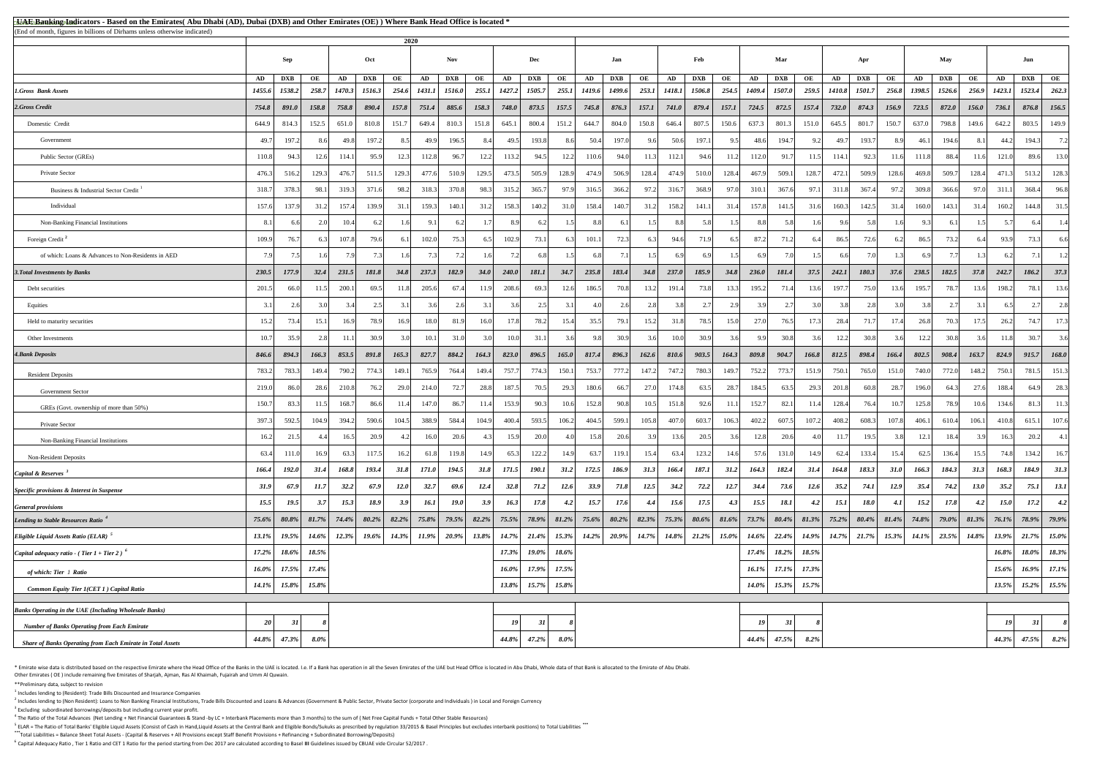<sup>5</sup> ELAR = The Ratio of Total Banks' Eligible Liquid Assets (Consist of Cash in Hand,Liquid Assets at the Central Bank and Eligible Bonds/Sukuks as prescribed by regulation 33/2015 & Basel Principles but excludes interbank **\*\*\***Total Liabilities = Balance Sheet Total Assets - (Capital & Reserves + All Provisions except Staff Benefit Provisions + Refinancing + Subordinated Borrowing/Deposits)

<sup>6</sup> Capital Adequacy Ratio , Tier 1 Ratio and CET 1 Ratio for the period starting from Dec 2017 are calculated according to Basel III Guidelines issued by CBUAE vide Circular 52/2017 .

\* Emirate wise data is distributed based on the respective Emirate where the Head Office of the Banks in the UAE is located. I.e. If a Bank has operation in all the Seven Emirates of the UAE but Head Office is located in A Other Emirates ( OE ) include remaining five Emirates of Sharjah, Ajman, Ras Al Khaimah, Fujairah and Umm Al Quwain.

| <b>EUAE Banking Indicators - Based on the Emirates</b> (Abu Dhabi (AD), Dubai (DXB) and Other Emirates (OE)) Where Bank Head Office is located * |             |            |         |        |              |             |               |             |             |          |              |          |              |               |       |               |            |       |                         |                |          |            |             |             |        |                                                                                                                                                                                                                                                                                                              |          |               |            |                  |
|--------------------------------------------------------------------------------------------------------------------------------------------------|-------------|------------|---------|--------|--------------|-------------|---------------|-------------|-------------|----------|--------------|----------|--------------|---------------|-------|---------------|------------|-------|-------------------------|----------------|----------|------------|-------------|-------------|--------|--------------------------------------------------------------------------------------------------------------------------------------------------------------------------------------------------------------------------------------------------------------------------------------------------------------|----------|---------------|------------|------------------|
| (End of month, figures in billions of Dirhams unless otherwise indicated)                                                                        |             | 2020       |         |        |              |             |               |             |             |          |              |          |              |               |       |               |            |       |                         |                |          |            |             |             |        |                                                                                                                                                                                                                                                                                                              |          |               |            |                  |
|                                                                                                                                                  | Sep         |            |         | Oct    |              |             | <b>Nov</b>    |             |             | Dec      |              | Jan      |              |               | Feb   |               | Mar        |       |                         | Apr            |          |            | May         |             |        | Jun                                                                                                                                                                                                                                                                                                          |          |               |            |                  |
|                                                                                                                                                  | AD          | <b>DXB</b> | OE      | AD     | <b>DXB</b>   | OE          | AD            | <b>DXB</b>  | OE          | AD       | <b>DXB</b>   | OE       | AD           | <b>DXB</b>    | OE    | AD            | <b>DXB</b> | OE    | AD                      | <b>DXB</b>     | OE       | AD         | <b>DXB</b>  | OE          | AD     | <b>DXB</b>                                                                                                                                                                                                                                                                                                   | OE       | AD            | <b>DXB</b> | OE               |
| <b>1.Gross Bank Assets</b>                                                                                                                       | 1455.6      | 1538.2     | 258.7   | 1470.3 | 1516.3       | 254.6       | <b>1431.1</b> | 1516.0      | 255.1       | 1427.2   | 1505.7       |          | 255.1 1419.6 | <b>1499.6</b> | 253.1 | 1418.1 1506.8 |            |       | 254.5   1409.4   1507.0 |                | 259.5    | 1410.8     | 1501.7      | 256.8       | 1398.5 | 1526.6                                                                                                                                                                                                                                                                                                       | 256.9    | <i>1423.1</i> | 1523.4     | 262.3            |
| 2.Gross Credit                                                                                                                                   | 754.8       | 891.0      | 158.8   | 758.8  | 890.4        | 157.8       | 751.4         | 885.6       | 158.3       | 748.0    | 873.5        | 157.5    | 745.8        | 876.3         | 157.1 | 741.0         | 879.4      | 157.1 | 724.5                   | 872.5          | 157.4    | 732.0      | 874.3       | 156.9       | 723.5  | 872.0                                                                                                                                                                                                                                                                                                        | 156.0    | 736.1         | 876.8      | 156.5            |
| Domestic Credit                                                                                                                                  | 644.9       | 814.3      | 152.5   | 651.0  | 810.8        | 151.7       | 649.4         | 810.3       | 151.8       | 645.1    | 800.4        | 151.2    | 644.7        | 804.0         | 150.8 | 646.4         | 807.5      | 150.6 | 637.3                   | 801.3          | 151.0    | 645.5      | 801.7       | 150.7       | 637.0  | 798.8                                                                                                                                                                                                                                                                                                        | 149.6    | 642.2         | 803.5      | 149.9            |
| Government                                                                                                                                       | 49.         | 197.2      |         | 49.8   | 197.2        | 8.5         | 49.9          | 196.5       |             | 49.5     | 193.8        | 8.6      | 50.4         | 197.0         |       | 50.6          | 197.1      |       | 48.6                    | 194.7          |          | $\Delta$ 9 | 193.7       |             | 46.1   | 194.6                                                                                                                                                                                                                                                                                                        |          | 44.2          | 194.3      | 7.2              |
| Public Sector (GREs)                                                                                                                             | 110.8       | 94.3       | 12.6    | 114.1  | 95.9         | 12.3        | 112.8         | 96.7        | 12.2        | 113.2    | 94.5         | 12.2     | 110.6        | 94.0          |       | 112.1         | 94.6       | 11.2  | 112.0                   | 91.7           | 11.5     | 114.1      | 92.3        |             | 111.8  | 88.4                                                                                                                                                                                                                                                                                                         | 11.6     | 121.0         | 89.6       | 13.0             |
| Private Sector                                                                                                                                   | 476.        | 516.2      | 129.3   | 476.7  | 511.5        | 129.3       | 477.6         | 510.9       | 129.5       | 473.5    | 505.9        | 128.9    | 474.9        | 506.9         | 128.4 | 474.9         | 510.0      | 128.4 | 467.9                   | 509.1          | 128.7    | 472.1      | 509.9       | 128.6       | 469.8  | 509.7                                                                                                                                                                                                                                                                                                        | 128.4    | 471.3         | 513.2      | 128.3            |
| Business & Industrial Sector Credit                                                                                                              | 318.        | 378.3      | 98.1    | 319.3  | 371.6        | 98.2        | 318.3         | 370.8       | 98.3        | 315.2    | 365.7        | 97.9     | 316.5        | 366.2         | 97.2  | 316.7         | 368.9      | 97.0  | 310.1                   | 367.6          | 97.1     | 311.8      | 367.4       | 97.2        | 309.8  | 366.6                                                                                                                                                                                                                                                                                                        | 97.0     | 311.1         | 368.4      | 96.8             |
| Individual                                                                                                                                       | 157.        | 137.9      | 31.2    | 157.4  | 139.9        | 31.1        | 159.3         | 140.1       | 31.2        | 158.3    | 140.2        | 31.0     | 158.4        | 140.7         | 31.2  | 158.2         | 141.1      | 31.4  | 157.8                   | 141.5          | 31.6     | 160.3      | 142.5       | 31.4        | 160.0  | 143.1                                                                                                                                                                                                                                                                                                        | 31.4     | 160.2         | 144.8      | 31.5             |
| Non-Banking Financial Institutions                                                                                                               | 8.1         |            | 2.0     | 10.4   | 6.2          | -1.6L       | 9.1           | 6.2         |             | 8.9      | 6.2          | $1.5$    | 8.8          | 6.1           | 1.5   | 8.8           | 5.8        | 1.5   | 8.8                     | 5.8            | 1.6      | 9.6        | 5.81        |             |        | 6.1                                                                                                                                                                                                                                                                                                          |          |               | 6.4        | -1.4             |
| Foreign Credit <sup>2</sup>                                                                                                                      | 109.9       | 76.7       | 6.3     | 107.8  | 79.6         | -6.1        | 102.0         | 75.3        |             | 102.9    | 73.1         | 6.3      | 101.1        | 72.3          | 6.3   | 94.6          | 71.9       | 6.51  | 87.2                    | 71.2           |          | 86.5       | 72.6        |             | 86.5   | 73.2                                                                                                                                                                                                                                                                                                         |          | 93.9          | 73.3       | 6.6              |
| of which: Loans & Advances to Non-Residents in AED                                                                                               |             |            |         |        |              |             |               |             |             |          |              |          | 6.8I         |               |       |               |            |       |                         |                |          |            |             |             |        |                                                                                                                                                                                                                                                                                                              |          |               |            | 1.2              |
| <b>3. Total Investments by Banks</b>                                                                                                             | 230.5       | 177.9      | 32.4    | 231.5  | <i>181.8</i> | 34.8        | 237.3         | 182.9       | 34.0        | 240.0    | 181.1        | 34.7     | 235.8        | 183.4         | 34.8  | 237.0         | 185.9      | 34.8  | 236.0                   | 181.4          | 37.5     | 242.1      | 180.3       | 37.6        | 238.5  | 182.5                                                                                                                                                                                                                                                                                                        | 37.8     | 242.7         | 186.2      | 37.3             |
| Debt securities                                                                                                                                  | 201.5       | 66.0       | 11.5    | 200.1  | 69.5         | 11.8        | 205.6         | 67.4        | 11.9        | 208.6    | 69.3         | 12.6     | 186.5        | 70.8          | 13.2  | 191.4         | 73.8       | 13.3  | 195.2                   | 71.4           | 13.6     | 197.7      | 75.0        |             | 195.7  | 78.7                                                                                                                                                                                                                                                                                                         | 13.6     | 198.2         | 78.1       | 13.6             |
| Equities                                                                                                                                         |             |            |         |        |              |             |               |             |             |          |              |          |              | 2.61          |       | 3 R           |            |       |                         |                |          |            | 2.81        |             |        |                                                                                                                                                                                                                                                                                                              |          |               |            | 2.8              |
| Held to maturity securities                                                                                                                      |             | 73.4       | 15.1    | 16.9   | 78.9         | 16.9        | 18.0          | 81.9        | 16.0        | 17.8     | 78.2         | 15.4     | 35.5         | 79.1          | 15.2  | 31.8          | 78.5       | 15.0  | 27.0                    | 76.5           | 17.3     | 28.4       | 71.7        |             | 26.8   | 70.3                                                                                                                                                                                                                                                                                                         | 17.5     | 26.2          | 74.7       | 17.3             |
| Other Investments                                                                                                                                |             | 35.9       | 2.8     | 11.1   | 30.9         |             | 10.1          | 31.0        |             | 10.0     | 31.1         | 3.6      | 9.8          | 30.9          | 3.6   | 10.0          | 30.9       | 3.6I  | 9.9                     | 30.8           | 3.6      |            | 30.8        |             | 12.2   | 30.8                                                                                                                                                                                                                                                                                                         |          | 11.8          | 30.7       | 3.6              |
| <b>4. Bank Deposits</b>                                                                                                                          | 846.6       | 894.3      | 166.3   | 853.5  | 891.8        | 165.3       | 827.7         | 884.2       | 164.3       | 823.0    | 896.5        | 165.0    | 817.4        | 896.3         | 162.6 | 810.6         | 903.5      | 164.3 | 809.8                   | 904.7          | 166.8    | 812.5      | 898.4       | 166.4       | 802.5  | 908.4                                                                                                                                                                                                                                                                                                        | 163.7    | 824.9         | 915.7      | 168.0            |
| <b>Resident Deposits</b>                                                                                                                         | 783.2       | 783.3      | 149.4   | 790.2  | 774.3        | 149.1       | 765.9         | 764.4       | 149.4       | 757.7    | 774.3        | 150.1    | 753.7        | 777.2         | 147.2 | 747.2         | 780.3      | 149.7 | 752.2                   | 773.7          | 151.9    | 750.1      | 765.0       | 151.0       | 740.0  | 772.0                                                                                                                                                                                                                                                                                                        | 148.2    | 750.1         | 781.5      | 151.3            |
| <b>Government Sector</b>                                                                                                                         | 219.        | 86.0       | 28.6    | 210.8  | 76.2         | 29.0        | 214.0         | 72.7        | 28.8        | 187.5    | 70.5         | 29.3     | 180.6        | 66.7          | 27.0  | 174.8         | 63.5       | 28.7  | 184.5                   | 63.5           | 29.3     | 201.8      | 60.8        |             | 196.0  | 64.3                                                                                                                                                                                                                                                                                                         | 27.6     | 188.4         | 64.9       | 28.3             |
| GREs (Govt. ownership of more than 50%)                                                                                                          | 150.        | 83.3       | 11.51   | 168.7  | 86.6         |             | 147.0         | 86.7        | 11.4        | 153.9    | 90.3         | 10.6     | 152.8        | 90.8          | 10.5  | 151.8         | 92.6       | 11.1  | 152.7                   | 82.1           | 11.4     | 128.4      | 76.4        |             | 125.8  | 78.9                                                                                                                                                                                                                                                                                                         | 10.6     | 134.6         | 81.3       | 11.3             |
| Private Sector                                                                                                                                   | 397.        | 592.5      | 104.9   | 394.2  | 590.6        | 104.5       | 388.9         | 584.4       | 104.9       | 400.4    | 593.5        | 106.2    | 404.5        | 599.1         | 105.8 | 407.0         | 603.7      | 106.3 | 402.2                   | 607.5          | 107.2    | 408.2      | 608.3       | 107.8       | 406.1  | 610.4                                                                                                                                                                                                                                                                                                        | 106.1    | 410.8         | 615.1      | 107.6            |
| Non-Banking Financial Institutions                                                                                                               |             | 21.5       |         | 16.5   | 20.9         |             | 16.0          | 20.6        |             | 15.9     | 20.0         |          | 15.8         | 20.6          | 3.9   | 13.6          | 20.5       | 3.6   | 12.8                    | 20.6           | 4.0L     | 11.7       | 19.5        |             | 12.1   | 18.4                                                                                                                                                                                                                                                                                                         |          | 16.3          | 20.2       | 4.1              |
| <b>Non-Resident Deposits</b>                                                                                                                     | 63.4        | 111.0      | 16.9    | 63.3   | 117.5        | 16.2        | 61.8          | 119.8       | 14.9        | 65.3     | 122.2        | 14.9     | 63.7         | 119.1         | 15.4  | 63.4          | 123.2      | 14.6  | 57.6                    | 131.0          | 14.9     | 62.4       | 133.4       |             | 62.5   | 136.4                                                                                                                                                                                                                                                                                                        | 15.5     | 74.8          | 134.2      | 16.7             |
| Capital & Reserves $3$                                                                                                                           | 166.4       | 192.0      | 31.4    | 168.8  | 193.4        | 31.8        | 171.0         | 194.5       | 31.8        | 171.5    | <b>190.1</b> | 31.2     | 172.5        | 186.9         | 31.3  | 166.4         | 187.1      | 31.2  | 164.3                   | 182.4          | 31.4     | 164.8      | 183.3       | 31.0        | 166.3  | 184.3                                                                                                                                                                                                                                                                                                        | 31.3     | 168.3         | 184.9      | 31.3             |
| Specific provisions & Interest in Suspense                                                                                                       | <b>31.9</b> | 67.9       | 11.7    | 32.2   | 67.9         | <b>12.0</b> | 32.7          | 69.6        | <b>12.4</b> | 32.8     | 71.2         | 12.6     | 33.9         | 71.8          | 12.5  | 34.2          | 72.2       | 12.7  | 34.4                    | 73.6           | 12.6     | 35.2       | 74.1        | <i>12.9</i> | 35.4   | 74.2                                                                                                                                                                                                                                                                                                         | 13.0     | 35.2          | 75.1       | 13.1             |
| <b>General provisions</b>                                                                                                                        | 15.5        | 19.5       | 3.7     | 15.3   | <b>18.9</b>  | 3.9         | 16.1          | <b>19.0</b> | <b>3.9</b>  | 16.3     | 17.8         | 4.2      | 15.7         | 17.6          | 4.4   | 15.6          | 17.5       | 4.3   | 15.5                    | 18.1           | 4.2      | 15.1       | <b>18.0</b> | <b>4.1</b>  | 15.2   | 17.8                                                                                                                                                                                                                                                                                                         | 4.2      | 15.0          | 17.2       | 4.2              |
| Lending to Stable Resources Ratio <sup>4</sup>                                                                                                   | $75.6\%$    |            |         |        |              |             |               |             |             |          |              |          |              |               |       |               |            |       |                         |                |          |            |             |             |        | $\mid 80.8\% \mid$ $\mid 81.7\% \mid$ $\mid 74.4\% \mid$ $\mid 80.2\% \mid$ $\mid 82.2\% \mid$ $\mid 75.8\% \mid$ $\mid 75.5\% \mid$ $\mid 75.5\% \mid$ $\mid 78.9\% \mid$ $\mid 81.2\% \mid$ $\mid 75.6\% \mid$ $\mid 80.2\% \mid$ $\mid 82.3\% \mid$ $\mid 75.3\% \mid$ $\mid 80.6\% \mid$ $\mid 81.6\% \$ |          |               |            |                  |
| <b>Eligible Liquid Assets Ratio (ELAR)</b> 5                                                                                                     | 13.1%       | 19.5%      | 14.6%   | 12.3%  | $19.6\%$     | 14.3%       | 11.9%         | $20.9\%$    | 13.8%       | $14.7\%$ | $21.4\%$     | $15.3\%$ | $14.2\%$     | 20.9%         | 14.7% | 14.8%         | $21.2\%$   | 15.0% | $14.6\%$                | 22.4%          | $14.9\%$ | $14.7\%$   | 21.7%       | 15.3%       | 14.1%  | 23.5%                                                                                                                                                                                                                                                                                                        | $14.8\%$ | $13.9\%$      | $21.7\%$   | $15.0\%$         |
| Capital adequacy ratio - (Tier $1 +$ Tier 2) <sup>6</sup>                                                                                        | 17.2%       | 18.6%      | 18.5%   |        |              |             |               |             |             | 17.3%    | $19.0\%$     | 18.6%    |              |               |       |               |            |       | $17.4\%$                | $18.2\%$       | 18.5%    |            |             |             |        |                                                                                                                                                                                                                                                                                                              |          | 16.8%         | 18.0%      | 18.3%            |
| of which: Tier 1 Ratio                                                                                                                           | 16.0%       | 17.5%      | 17.4%   |        |              |             |               |             |             | $16.0\%$ | $17.9\%$     | 17.5%    |              |               |       |               |            |       | $16.1\%$                | $17.1\%$ 17.3% |          |            |             |             |        |                                                                                                                                                                                                                                                                                                              |          | 15.6%         |            | 16.9% 17.1%      |
| <b>Common Equity Tier 1(CET 1) Capital Ratio</b>                                                                                                 | $14.1\%$    | $15.8\%$   | 15.8%   |        |              |             |               |             |             | $13.8\%$ | $15.7\%$     | 15.8%    |              |               |       |               |            |       | $14.0\%$                | $15.3\%$ 15.7% |          |            |             |             |        |                                                                                                                                                                                                                                                                                                              |          | 13.5%         |            | $15.2\%$ 15.5%   |
|                                                                                                                                                  |             |            |         |        |              |             |               |             |             |          |              |          |              |               |       |               |            |       |                         |                |          |            |             |             |        |                                                                                                                                                                                                                                                                                                              |          |               |            |                  |
| <b>Banks Operating in the UAE (Including Wholesale Banks)</b>                                                                                    |             |            |         |        |              |             |               |             |             |          |              |          |              |               |       |               |            |       |                         |                |          |            |             |             |        |                                                                                                                                                                                                                                                                                                              |          |               |            |                  |
| <b>Number of Banks Operating from Each Emirate</b>                                                                                               | 20          |            |         |        |              |             |               |             |             | 19       |              |          |              |               |       |               |            |       | 19                      |                |          |            |             |             |        |                                                                                                                                                                                                                                                                                                              |          | 19            |            | $\boldsymbol{8}$ |
| <b>Share of Banks Operating from Each Emirate in Total Assets</b>                                                                                | 44.8%       | 47.3%      | $8.0\%$ |        |              |             |               |             |             | 44.8%    | $47.2\%$     | $8.0\%$  |              |               |       |               |            |       | 44.4%                   | 47.5%          | $8.2\%$  |            |             |             |        |                                                                                                                                                                                                                                                                                                              |          | 44.3%         | 47.5%      | $8.2\%$          |

\*\*Preliminary data, subject to revision

 $<sup>1</sup>$  Includes lending to (Resident): Trade Bills Discounted and Insurance Companies</sup>

 $^2$  Includes lending to (Non Resident): Loans to Non Banking Financial Institutions, Trade Bills Discounted and Loans & Advances (Government & Public Sector, Private Sector (corporate and Individuals) in Local and Foreig  $3$  Excluding subordinated borrowings/deposits but including current year profit.

 $^4$  The Ratio of the Total Advances (Net Lending + Net Financial Guarantees & Stand -by LC + Interbank Placements more than 3 months) to the sum of (Net Free Capital Funds + Total Other Stable Resources)